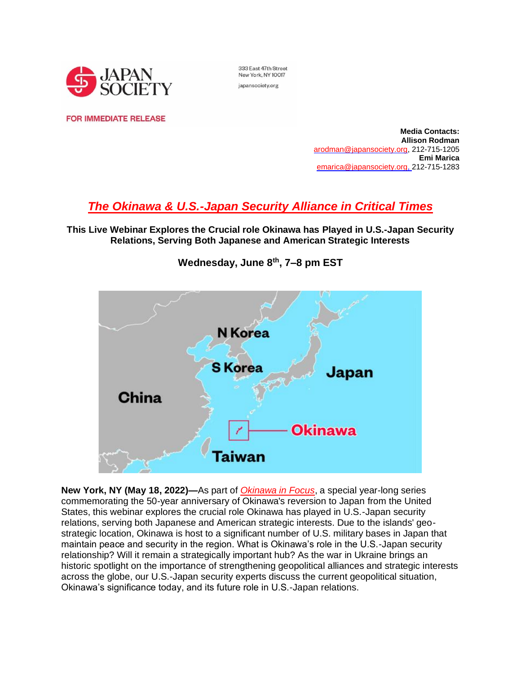

333 East 47th Street New York, NY 10017 japansociety.org

**FOR IMMEDIATE RELEASE** 

**Media Contacts: Allison Rodman**  [arodman@japansociety.org,](mailto:ARodman@japansociety.org%2522%2520/) 212-715-1205 **Emi Marica** [emarica@japansociety.org,](mailto:emarica@japansociety.org) 212-715-1283

# *[The Okinawa & U.S.-Japan Security Alliance in Critical Times](https://www.japansociety.org/business-and-policy/events/the-okinawa-and-u-s-japan-security-alliance-in-critical-times)*

**This Live Webinar Explores the Crucial role Okinawa has Played in U.S.-Japan Security Relations, Serving Both Japanese and American Strategic Interests**



**Wednesday, June 8th, 7–8 pm EST**

**New York, NY (May 18, 2022)—**As part of *[Okinawa in Focus](https://www.japansociety.org/okinawa-series)*, a special year-long series commemorating the 50-year anniversary of Okinawa's reversion to Japan from the United States, this webinar explores the crucial role Okinawa has played in U.S.-Japan security relations, serving both Japanese and American strategic interests. Due to the islands' geostrategic location, Okinawa is host to a significant number of U.S. military bases in Japan that maintain peace and security in the region. What is Okinawa's role in the U.S.-Japan security relationship? Will it remain a strategically important hub? As the war in Ukraine brings an historic spotlight on the importance of strengthening geopolitical alliances and strategic interests across the globe, our U.S.-Japan security experts discuss the current geopolitical situation, Okinawa's significance today, and its future role in U.S.-Japan relations.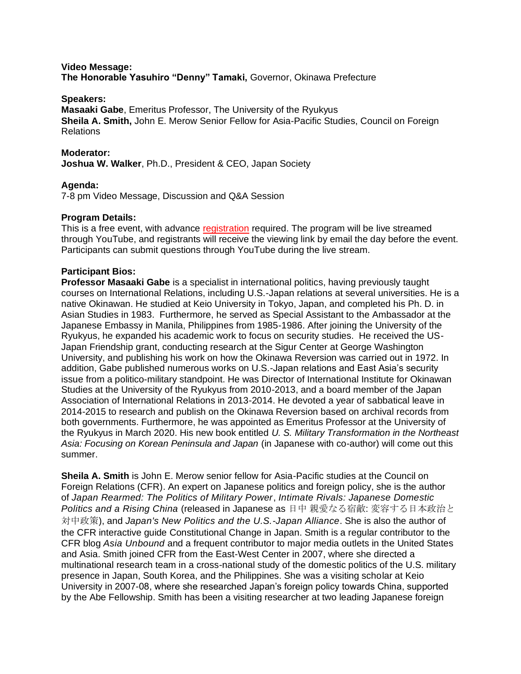#### **Video Message: The Honorable Yasuhiro "Denny" Tamaki,** Governor, Okinawa Prefecture

#### **Speakers:**

**Masaaki Gabe**, Emeritus Professor, The University of the Ryukyus **Sheila A. Smith,** John E. Merow Senior Fellow for Asia-Pacific Studies, Council on Foreign Relations

#### **Moderator:**

**Joshua W. Walker**, Ph.D., President & CEO, Japan Society

#### **Agenda:**

7-8 pm Video Message, Discussion and Q&A Session

#### **Program Details:**

This is a free event, with advance [registration](https://boxoffice.japansociety.org/events/a5d51fe8-c12e-2621-6951-81c81b873557) required. The program will be live streamed through YouTube, and registrants will receive the viewing link by email the day before the event. Participants can submit questions through YouTube during the live stream.

#### **Participant Bios:**

**Professor Masaaki Gabe** is a specialist in international politics, having previously taught courses on International Relations, including U.S.-Japan relations at several universities. He is a native Okinawan. He studied at Keio University in Tokyo, Japan, and completed his Ph. D. in Asian Studies in 1983. Furthermore, he served as Special Assistant to the Ambassador at the Japanese Embassy in Manila, Philippines from 1985-1986. After joining the University of the Ryukyus, he expanded his academic work to focus on security studies. He received the US-Japan Friendship grant, conducting research at the Sigur Center at George Washington University, and publishing his work on how the Okinawa Reversion was carried out in 1972. In addition, Gabe published numerous works on U.S.-Japan relations and East Asia's security issue from a politico-military standpoint. He was Director of International Institute for Okinawan Studies at the University of the Ryukyus from 2010-2013, and a board member of the Japan Association of International Relations in 2013-2014. He devoted a year of sabbatical leave in 2014-2015 to research and publish on the Okinawa Reversion based on archival records from both governments. Furthermore, he was appointed as Emeritus Professor at the University of the Ryukyus in March 2020. His new book entitled *U. S. Military Transformation in the Northeast Asia: Focusing on Korean Peninsula and Japan* (in Japanese with co-author) will come out this summer.

**Sheila A. Smith** is John E. Merow senior fellow for Asia-Pacific studies at the Council on Foreign Relations (CFR). An expert on Japanese politics and foreign policy, she is the author of *Japan Rearmed: The Politics of Military Power*, *Intimate Rivals: Japanese Domestic Politics and a Rising China* (released in Japanese as 日中 親愛なる宿敵: 変容する日本政治と 対中政策), and *Japan's New Politics and the U.S.-Japan Alliance*. She is also the author of the CFR interactive guide Constitutional Change in Japan. Smith is a regular contributor to the CFR blog *Asia Unbound* and a frequent contributor to major media outlets in the United States and Asia. Smith joined CFR from the East-West Center in 2007, where she directed a multinational research team in a cross-national study of the domestic politics of the U.S. military presence in Japan, South Korea, and the Philippines. She was a visiting scholar at Keio University in 2007-08, where she researched Japan's foreign policy towards China, supported by the Abe Fellowship. Smith has been a visiting researcher at two leading Japanese foreign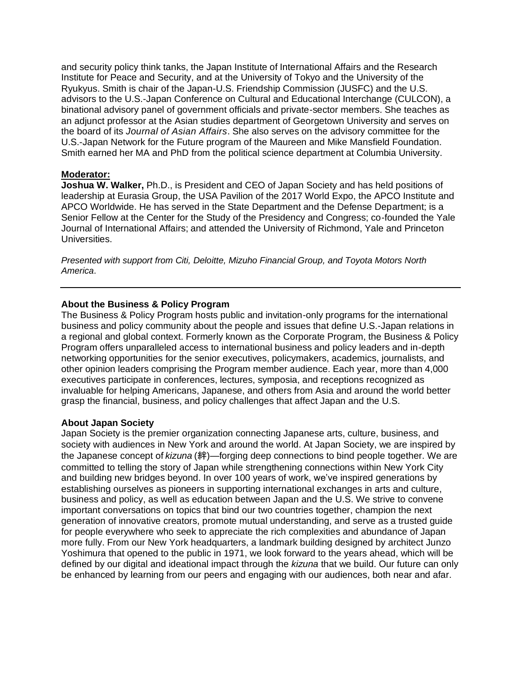and security policy think tanks, the Japan Institute of International Affairs and the Research Institute for Peace and Security, and at the University of Tokyo and the University of the Ryukyus. Smith is chair of the Japan-U.S. Friendship Commission (JUSFC) and the U.S. advisors to the U.S.-Japan Conference on Cultural and Educational Interchange (CULCON), a binational advisory panel of government officials and private-sector members. She teaches as an adjunct professor at the Asian studies department of Georgetown University and serves on the board of its *Journal of Asian Affairs*. She also serves on the advisory committee for the U.S.-Japan Network for the Future program of the Maureen and Mike Mansfield Foundation. Smith earned her MA and PhD from the political science department at Columbia University.

### **Moderator:**

**Joshua W. Walker,** Ph.D., is President and CEO of Japan Society and has held positions of leadership at Eurasia Group, the USA Pavilion of the 2017 World Expo, the APCO Institute and APCO Worldwide. He has served in the State Department and the Defense Department; is a Senior Fellow at the Center for the Study of the Presidency and Congress; co-founded the Yale Journal of International Affairs; and attended the University of Richmond, Yale and Princeton Universities.

*Presented with support from Citi, Deloitte, Mizuho Financial Group, and Toyota Motors North America*.

### **About the Business & Policy Program**

The Business & Policy Program hosts public and invitation-only programs for the international business and policy community about the people and issues that define U.S.-Japan relations in a regional and global context. Formerly known as the Corporate Program, the Business & Policy Program offers unparalleled access to international business and policy leaders and in-depth networking opportunities for the senior executives, policymakers, academics, journalists, and other opinion leaders comprising the Program member audience. Each year, more than 4,000 executives participate in conferences, lectures, symposia, and receptions recognized as invaluable for helping Americans, Japanese, and others from Asia and around the world better grasp the financial, business, and policy challenges that affect Japan and the U.S.

#### **About Japan Society**

Japan Society is the premier organization connecting Japanese arts, culture, business, and society with audiences in New York and around the world. At Japan Society, we are inspired by the Japanese concept of *kizuna* (絆)—forging deep connections to bind people together. We are committed to telling the story of Japan while strengthening connections within New York City and building new bridges beyond. In over 100 years of work, we've inspired generations by establishing ourselves as pioneers in supporting international exchanges in arts and culture, business and policy, as well as education between Japan and the U.S. We strive to convene important conversations on topics that bind our two countries together, champion the next generation of innovative creators, promote mutual understanding, and serve as a trusted guide for people everywhere who seek to appreciate the rich complexities and abundance of Japan more fully. From our New York headquarters, a landmark building designed by architect Junzo Yoshimura that opened to the public in 1971, we look forward to the years ahead, which will be defined by our digital and ideational impact through the *kizuna* that we build. Our future can only be enhanced by learning from our peers and engaging with our audiences, both near and afar.